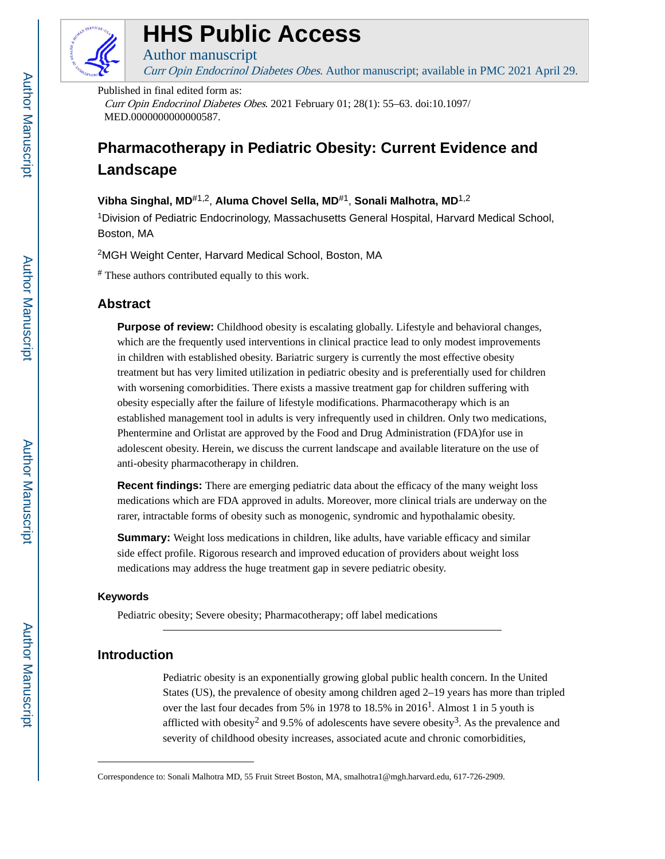

## **HHS Public Access**

Author manuscript Curr Opin Endocrinol Diabetes Obes. Author manuscript; available in PMC 2021 April 29.

Published in final edited form as:

Curr Opin Endocrinol Diabetes Obes. 2021 February 01; 28(1): 55–63. doi:10.1097/ MED.0000000000000587.

### **Pharmacotherapy in Pediatric Obesity: Current Evidence and Landscape**

#### **Vibha Singhal, MD**#1,2, **Aluma Chovel Sella, MD**#1, **Sonali Malhotra, MD**1,2

<sup>1</sup>Division of Pediatric Endocrinology, Massachusetts General Hospital, Harvard Medical School, Boston, MA

<sup>2</sup>MGH Weight Center, Harvard Medical School, Boston, MA

# These authors contributed equally to this work.

#### **Abstract**

**Purpose of review:** Childhood obesity is escalating globally. Lifestyle and behavioral changes, which are the frequently used interventions in clinical practice lead to only modest improvements in children with established obesity. Bariatric surgery is currently the most effective obesity treatment but has very limited utilization in pediatric obesity and is preferentially used for children with worsening comorbidities. There exists a massive treatment gap for children suffering with obesity especially after the failure of lifestyle modifications. Pharmacotherapy which is an established management tool in adults is very infrequently used in children. Only two medications, Phentermine and Orlistat are approved by the Food and Drug Administration (FDA)for use in adolescent obesity. Herein, we discuss the current landscape and available literature on the use of anti-obesity pharmacotherapy in children.

**Recent findings:** There are emerging pediatric data about the efficacy of the many weight loss medications which are FDA approved in adults. Moreover, more clinical trials are underway on the rarer, intractable forms of obesity such as monogenic, syndromic and hypothalamic obesity.

**Summary:** Weight loss medications in children, like adults, have variable efficacy and similar side effect profile. Rigorous research and improved education of providers about weight loss medications may address the huge treatment gap in severe pediatric obesity.

#### **Keywords**

Pediatric obesity; Severe obesity; Pharmacotherapy; off label medications

#### **Introduction**

Pediatric obesity is an exponentially growing global public health concern. In the United States (US), the prevalence of obesity among children aged 2–19 years has more than tripled over the last four decades from 5% in 1978 to 18.5% in  $2016<sup>1</sup>$ . Almost 1 in 5 youth is afflicted with obesity<sup>2</sup> and 9.5% of adolescents have severe obesity<sup>3</sup>. As the prevalence and severity of childhood obesity increases, associated acute and chronic comorbidities,

Correspondence to: Sonali Malhotra MD, 55 Fruit Street Boston, MA, smalhotra1@mgh.harvard.edu, 617-726-2909.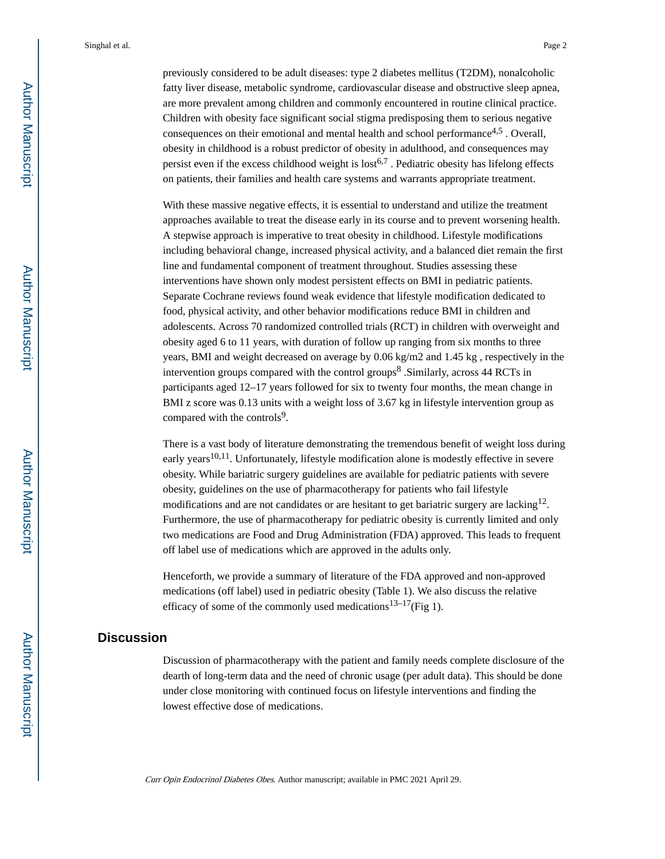previously considered to be adult diseases: type 2 diabetes mellitus (T2DM), nonalcoholic fatty liver disease, metabolic syndrome, cardiovascular disease and obstructive sleep apnea, are more prevalent among children and commonly encountered in routine clinical practice. Children with obesity face significant social stigma predisposing them to serious negative consequences on their emotional and mental health and school performance<sup>4,5</sup>. Overall, obesity in childhood is a robust predictor of obesity in adulthood, and consequences may persist even if the excess childhood weight is  $\text{lost}^{6,7}$ . Pediatric obesity has lifelong effects on patients, their families and health care systems and warrants appropriate treatment.

With these massive negative effects, it is essential to understand and utilize the treatment approaches available to treat the disease early in its course and to prevent worsening health. A stepwise approach is imperative to treat obesity in childhood. Lifestyle modifications including behavioral change, increased physical activity, and a balanced diet remain the first line and fundamental component of treatment throughout. Studies assessing these interventions have shown only modest persistent effects on BMI in pediatric patients. Separate Cochrane reviews found weak evidence that lifestyle modification dedicated to food, physical activity, and other behavior modifications reduce BMI in children and adolescents. Across 70 randomized controlled trials (RCT) in children with overweight and obesity aged 6 to 11 years, with duration of follow up ranging from six months to three years, BMI and weight decreased on average by 0.06 kg/m2 and 1.45 kg , respectively in the intervention groups compared with the control groups<sup>8</sup> . Similarly, across 44 RCTs in participants aged 12–17 years followed for six to twenty four months, the mean change in BMI z score was 0.13 units with a weight loss of 3.67 kg in lifestyle intervention group as compared with the controls<sup>9</sup>.

There is a vast body of literature demonstrating the tremendous benefit of weight loss during early years<sup>10,11</sup>. Unfortunately, lifestyle modification alone is modestly effective in severe obesity. While bariatric surgery guidelines are available for pediatric patients with severe obesity, guidelines on the use of pharmacotherapy for patients who fail lifestyle modifications and are not candidates or are hesitant to get bariatric surgery are lacking<sup>12</sup>. Furthermore, the use of pharmacotherapy for pediatric obesity is currently limited and only two medications are Food and Drug Administration (FDA) approved. This leads to frequent off label use of medications which are approved in the adults only.

Henceforth, we provide a summary of literature of the FDA approved and non-approved medications (off label) used in pediatric obesity (Table 1). We also discuss the relative efficacy of some of the commonly used medications<sup>13–17</sup>(Fig 1).

#### **Discussion**

Discussion of pharmacotherapy with the patient and family needs complete disclosure of the dearth of long-term data and the need of chronic usage (per adult data). This should be done under close monitoring with continued focus on lifestyle interventions and finding the lowest effective dose of medications.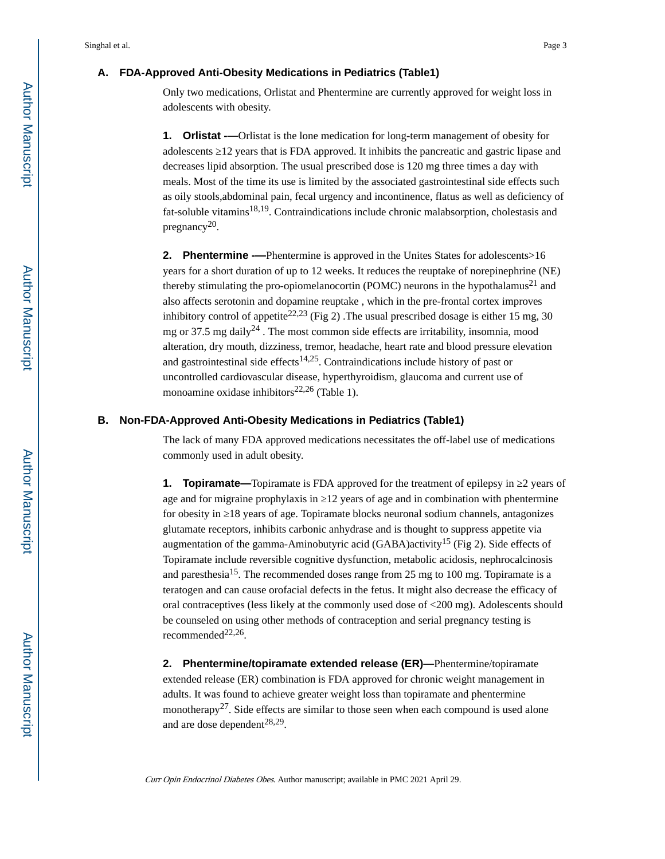#### **A. FDA-Approved Anti-Obesity Medications in Pediatrics (Table1)**

Only two medications, Orlistat and Phentermine are currently approved for weight loss in adolescents with obesity.

**1.** Orlistat ——Orlistat is the lone medication for long-term management of obesity for adolescents 12 years that is FDA approved. It inhibits the pancreatic and gastric lipase and decreases lipid absorption. The usual prescribed dose is 120 mg three times a day with meals. Most of the time its use is limited by the associated gastrointestinal side effects such as oily stools,abdominal pain, fecal urgency and incontinence, flatus as well as deficiency of fat-soluble vitamins<sup>18,19</sup>. Contraindications include chronic malabsorption, cholestasis and pregnancy<sup>20</sup>.

**2.** Phentermine -—Phentermine is approved in the Unites States for adolescents>16 years for a short duration of up to 12 weeks. It reduces the reuptake of norepinephrine (NE) thereby stimulating the pro-opiomelanocortin (POMC) neurons in the hypothalamus<sup>21</sup> and also affects serotonin and dopamine reuptake , which in the pre-frontal cortex improves inhibitory control of appetite<sup>22,23</sup> (Fig 2). The usual prescribed dosage is either 15 mg, 30 mg or 37.5 mg daily<sup>24</sup>. The most common side effects are irritability, insomnia, mood alteration, dry mouth, dizziness, tremor, headache, heart rate and blood pressure elevation and gastrointestinal side effects<sup>14,25</sup>. Contraindications include history of past or uncontrolled cardiovascular disease, hyperthyroidism, glaucoma and current use of monoamine oxidase inhibitors<sup>22,26</sup> (Table 1).

#### **B. Non-FDA-Approved Anti-Obesity Medications in Pediatrics (Table1)**

The lack of many FDA approved medications necessitates the off-label use of medications commonly used in adult obesity.

**1. Topiramate—**Topiramate is FDA approved for the treatment of epilepsy in 2 years of age and for migraine prophylaxis in 12 years of age and in combination with phentermine for obesity in 18 years of age. Topiramate blocks neuronal sodium channels, antagonizes glutamate receptors, inhibits carbonic anhydrase and is thought to suppress appetite via augmentation of the gamma-Aminobutyric acid (GABA)activity<sup>15</sup> (Fig 2). Side effects of Topiramate include reversible cognitive dysfunction, metabolic acidosis, nephrocalcinosis and paresthesia<sup>15</sup>. The recommended doses range from 25 mg to 100 mg. Topiramate is a teratogen and can cause orofacial defects in the fetus. It might also decrease the efficacy of oral contraceptives (less likely at the commonly used dose of <200 mg). Adolescents should be counseled on using other methods of contraception and serial pregnancy testing is recommended $^{22,26}$ .

**2. Phentermine/topiramate extended release (ER)—**Phentermine/topiramate extended release (ER) combination is FDA approved for chronic weight management in adults. It was found to achieve greater weight loss than topiramate and phentermine monotherapy<sup>27</sup>. Side effects are similar to those seen when each compound is used alone and are dose dependent<sup>28,29</sup>.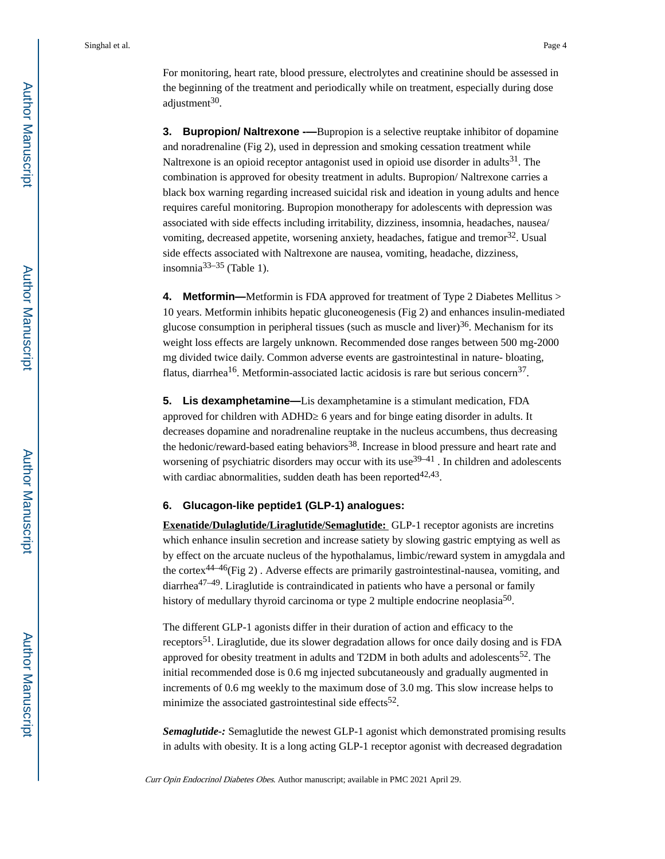For monitoring, heart rate, blood pressure, electrolytes and creatinine should be assessed in the beginning of the treatment and periodically while on treatment, especially during dose adjustment<sup>30</sup>.

**3. Bupropion/ Naltrexone -**—Bupropion is a selective reuptake inhibitor of dopamine and noradrenaline (Fig 2), used in depression and smoking cessation treatment while Naltrexone is an opioid receptor antagonist used in opioid use disorder in adults $31$ . The combination is approved for obesity treatment in adults. Bupropion/ Naltrexone carries a black box warning regarding increased suicidal risk and ideation in young adults and hence requires careful monitoring. Bupropion monotherapy for adolescents with depression was associated with side effects including irritability, dizziness, insomnia, headaches, nausea/ vomiting, decreased appetite, worsening anxiety, headaches, fatigue and tremor $32$ . Usual side effects associated with Naltrexone are nausea, vomiting, headache, dizziness, insomnia<sup>33–35</sup> (Table 1).

**4. Metformin—**Metformin is FDA approved for treatment of Type 2 Diabetes Mellitus > 10 years. Metformin inhibits hepatic gluconeogenesis (Fig 2) and enhances insulin-mediated glucose consumption in peripheral tissues (such as muscle and liver) $36$ . Mechanism for its weight loss effects are largely unknown. Recommended dose ranges between 500 mg-2000 mg divided twice daily. Common adverse events are gastrointestinal in nature- bloating, flatus, diarrhea<sup>16</sup>. Metformin-associated lactic acidosis is rare but serious concern<sup>37</sup>.

**5. Lis dexamphetamine—**Lis dexamphetamine is a stimulant medication, FDA approved for children with ADHD 6 years and for binge eating disorder in adults. It decreases dopamine and noradrenaline reuptake in the nucleus accumbens, thus decreasing the hedonic/reward-based eating behaviors<sup>38</sup>. Increase in blood pressure and heart rate and worsening of psychiatric disorders may occur with its use  $39-41$ . In children and adolescents with cardiac abnormalities, sudden death has been reported $42,43$ .

#### **6. Glucagon-like peptide1 (GLP-1) analogues:**

**Exenatide/Dulaglutide/Liraglutide/Semaglutide:** GLP-1 receptor agonists are incretins which enhance insulin secretion and increase satiety by slowing gastric emptying as well as by effect on the arcuate nucleus of the hypothalamus, limbic/reward system in amygdala and the cortex<sup>44–46</sup>(Fig 2). Adverse effects are primarily gastrointestinal-nausea, vomiting, and diarrhea<sup>47–49</sup>. Liraglutide is contraindicated in patients who have a personal or family history of medullary thyroid carcinoma or type 2 multiple endocrine neoplasia<sup>50</sup>.

The different GLP-1 agonists differ in their duration of action and efficacy to the receptors51. Liraglutide, due its slower degradation allows for once daily dosing and is FDA approved for obesity treatment in adults and T2DM in both adults and adolescents<sup>52</sup>. The initial recommended dose is 0.6 mg injected subcutaneously and gradually augmented in increments of 0.6 mg weekly to the maximum dose of 3.0 mg. This slow increase helps to minimize the associated gastrointestinal side effects<sup>52</sup>.

*Semaglutide-:* Semaglutide the newest GLP-1 agonist which demonstrated promising results in adults with obesity. It is a long acting GLP-1 receptor agonist with decreased degradation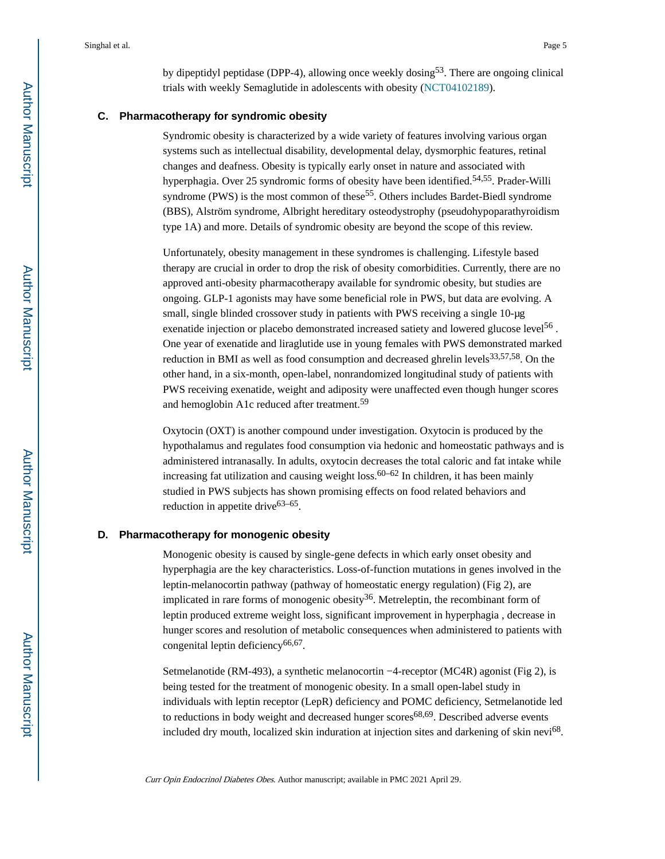by dipeptidyl peptidase (DPP-4), allowing once weekly dosing<sup>53</sup>. There are ongoing clinical trials with weekly Semaglutide in adolescents with obesity ([NCT04102189\)](https://clinicaltrials.gov/ct2/show/NCT04102189).

#### **C. Pharmacotherapy for syndromic obesity**

Syndromic obesity is characterized by a wide variety of features involving various organ systems such as intellectual disability, developmental delay, dysmorphic features, retinal changes and deafness. Obesity is typically early onset in nature and associated with hyperphagia. Over 25 syndromic forms of obesity have been identified.<sup>54,55</sup>. Prader-Willi syndrome (PWS) is the most common of these<sup>55</sup>. Others includes Bardet-Biedl syndrome (BBS), Alström syndrome, Albright hereditary osteodystrophy (pseudohypoparathyroidism type 1A) and more. Details of syndromic obesity are beyond the scope of this review.

Unfortunately, obesity management in these syndromes is challenging. Lifestyle based therapy are crucial in order to drop the risk of obesity comorbidities. Currently, there are no approved anti-obesity pharmacotherapy available for syndromic obesity, but studies are ongoing. GLP-1 agonists may have some beneficial role in PWS, but data are evolving. A small, single blinded crossover study in patients with PWS receiving a single 10-μg exenatide injection or placebo demonstrated increased satiety and lowered glucose level<sup>56</sup>. One year of exenatide and liraglutide use in young females with PWS demonstrated marked reduction in BMI as well as food consumption and decreased ghrelin levels<sup>33,57,58</sup>. On the other hand, in a six-month, open-label, nonrandomized longitudinal study of patients with PWS receiving exenatide, weight and adiposity were unaffected even though hunger scores and hemoglobin A1c reduced after treatment.<sup>59</sup>

Oxytocin (OXT) is another compound under investigation. Oxytocin is produced by the hypothalamus and regulates food consumption via hedonic and homeostatic pathways and is administered intranasally. In adults, oxytocin decreases the total caloric and fat intake while increasing fat utilization and causing weight loss.<sup>60–62</sup> In children, it has been mainly studied in PWS subjects has shown promising effects on food related behaviors and reduction in appetite drive<sup>63–65</sup>.

#### **D. Pharmacotherapy for monogenic obesity**

Monogenic obesity is caused by single-gene defects in which early onset obesity and hyperphagia are the key characteristics. Loss-of-function mutations in genes involved in the leptin-melanocortin pathway (pathway of homeostatic energy regulation) (Fig 2), are implicated in rare forms of monogenic obesity<sup>36</sup>. Metreleptin, the recombinant form of leptin produced extreme weight loss, significant improvement in hyperphagia , decrease in hunger scores and resolution of metabolic consequences when administered to patients with congenital leptin deficiency<sup>66,67</sup>.

Setmelanotide (RM-493), a synthetic melanocortin −4-receptor (MC4R) agonist (Fig 2), is being tested for the treatment of monogenic obesity. In a small open-label study in individuals with leptin receptor (LepR) deficiency and POMC deficiency, Setmelanotide led to reductions in body weight and decreased hunger  $\text{scores}^{68,69}$ . Described adverse events included dry mouth, localized skin induration at injection sites and darkening of skin nevi<sup>68</sup>.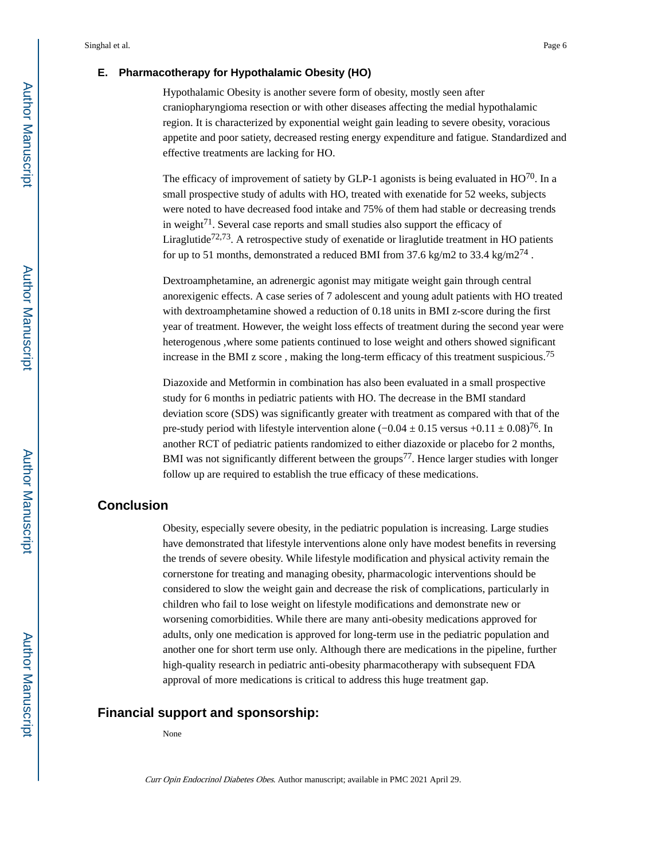#### **E. Pharmacotherapy for Hypothalamic Obesity (HO)**

Hypothalamic Obesity is another severe form of obesity, mostly seen after craniopharyngioma resection or with other diseases affecting the medial hypothalamic region. It is characterized by exponential weight gain leading to severe obesity, voracious appetite and poor satiety, decreased resting energy expenditure and fatigue. Standardized and effective treatments are lacking for HO.

The efficacy of improvement of satiety by GLP-1 agonists is being evaluated in  $HO^{70}$ . In a small prospective study of adults with HO, treated with exenatide for 52 weeks, subjects were noted to have decreased food intake and 75% of them had stable or decreasing trends in weight<sup>71</sup>. Several case reports and small studies also support the efficacy of Liraglutide<sup>72,73</sup>. A retrospective study of exenatide or liraglutide treatment in HO patients for up to 51 months, demonstrated a reduced BMI from 37.6 kg/m2 to 33.4 kg/m2<sup>74</sup>.

Dextroamphetamine, an adrenergic agonist may mitigate weight gain through central anorexigenic effects. A case series of 7 adolescent and young adult patients with HO treated with dextroamphetamine showed a reduction of 0.18 units in BMI z-score during the first year of treatment. However, the weight loss effects of treatment during the second year were heterogenous ,where some patients continued to lose weight and others showed significant increase in the BMI z score , making the long-term efficacy of this treatment suspicious.<sup>75</sup>

Diazoxide and Metformin in combination has also been evaluated in a small prospective study for 6 months in pediatric patients with HO. The decrease in the BMI standard deviation score (SDS) was significantly greater with treatment as compared with that of the pre-study period with lifestyle intervention alone ( $-0.04 \pm 0.15$  versus  $+0.11 \pm 0.08$ )<sup>76</sup>. In another RCT of pediatric patients randomized to either diazoxide or placebo for 2 months, BMI was not significantly different between the groups<sup>77</sup>. Hence larger studies with longer follow up are required to establish the true efficacy of these medications.

#### **Conclusion**

Obesity, especially severe obesity, in the pediatric population is increasing. Large studies have demonstrated that lifestyle interventions alone only have modest benefits in reversing the trends of severe obesity. While lifestyle modification and physical activity remain the cornerstone for treating and managing obesity, pharmacologic interventions should be considered to slow the weight gain and decrease the risk of complications, particularly in children who fail to lose weight on lifestyle modifications and demonstrate new or worsening comorbidities. While there are many anti-obesity medications approved for adults, only one medication is approved for long-term use in the pediatric population and another one for short term use only. Although there are medications in the pipeline, further high-quality research in pediatric anti-obesity pharmacotherapy with subsequent FDA approval of more medications is critical to address this huge treatment gap.

#### **Financial support and sponsorship:**

None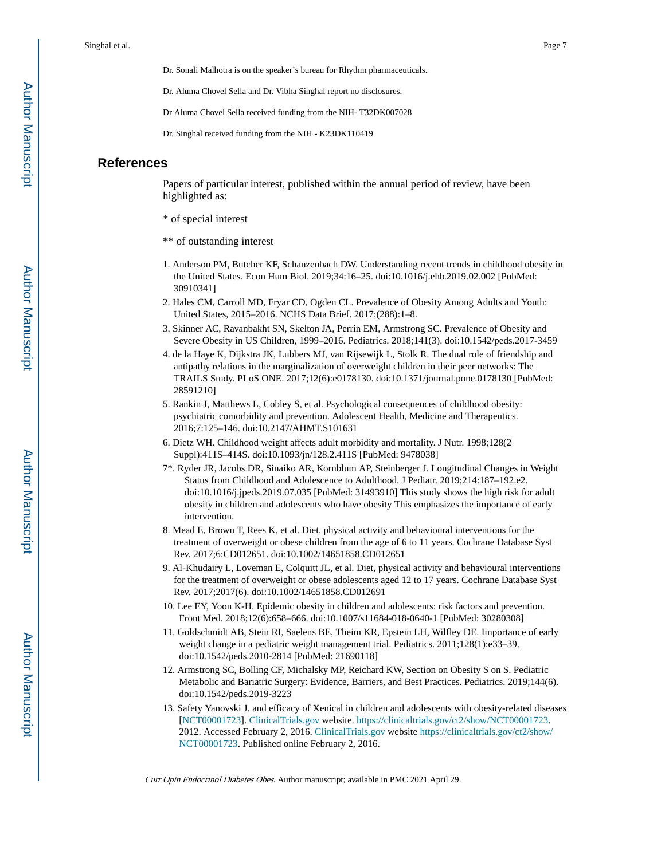Dr. Sonali Malhotra is on the speaker's bureau for Rhythm pharmaceuticals.

Dr. Aluma Chovel Sella and Dr. Vibha Singhal report no disclosures.

Dr Aluma Chovel Sella received funding from the NIH- T32DK007028

Dr. Singhal received funding from the NIH - K23DK110419

#### **References**

Papers of particular interest, published within the annual period of review, have been highlighted as:

\* of special interest

\*\* of outstanding interest

- 1. Anderson PM, Butcher KF, Schanzenbach DW. Understanding recent trends in childhood obesity in the United States. Econ Hum Biol. 2019;34:16–25. doi:10.1016/j.ehb.2019.02.002 [PubMed: 30910341]
- 2. Hales CM, Carroll MD, Fryar CD, Ogden CL. Prevalence of Obesity Among Adults and Youth: United States, 2015–2016. NCHS Data Brief. 2017;(288):1–8.
- 3. Skinner AC, Ravanbakht SN, Skelton JA, Perrin EM, Armstrong SC. Prevalence of Obesity and Severe Obesity in US Children, 1999–2016. Pediatrics. 2018;141(3). doi:10.1542/peds.2017-3459
- 4. de la Haye K, Dijkstra JK, Lubbers MJ, van Rijsewijk L, Stolk R. The dual role of friendship and antipathy relations in the marginalization of overweight children in their peer networks: The TRAILS Study. PLoS ONE. 2017;12(6):e0178130. doi:10.1371/journal.pone.0178130 [PubMed: 28591210]
- 5. Rankin J, Matthews L, Cobley S, et al. Psychological consequences of childhood obesity: psychiatric comorbidity and prevention. Adolescent Health, Medicine and Therapeutics. 2016;7:125–146. doi:10.2147/AHMT.S101631
- 6. Dietz WH. Childhood weight affects adult morbidity and mortality. J Nutr. 1998;128(2 Suppl):411S–414S. doi:10.1093/jn/128.2.411S [PubMed: 9478038]
- 7\*. Ryder JR, Jacobs DR, Sinaiko AR, Kornblum AP, Steinberger J. Longitudinal Changes in Weight Status from Childhood and Adolescence to Adulthood. J Pediatr. 2019;214:187–192.e2. doi:10.1016/j.jpeds.2019.07.035 [PubMed: 31493910] This study shows the high risk for adult obesity in children and adolescents who have obesity This emphasizes the importance of early intervention.
- 8. Mead E, Brown T, Rees K, et al. Diet, physical activity and behavioural interventions for the treatment of overweight or obese children from the age of 6 to 11 years. Cochrane Database Syst Rev. 2017;6:CD012651. doi:10.1002/14651858.CD012651
- 9. Al-Khudairy L, Loveman E, Colquitt JL, et al. Diet, physical activity and behavioural interventions for the treatment of overweight or obese adolescents aged 12 to 17 years. Cochrane Database Syst Rev. 2017;2017(6). doi:10.1002/14651858.CD012691
- 10. Lee EY, Yoon K-H. Epidemic obesity in children and adolescents: risk factors and prevention. Front Med. 2018;12(6):658–666. doi:10.1007/s11684-018-0640-1 [PubMed: 30280308]
- 11. Goldschmidt AB, Stein RI, Saelens BE, Theim KR, Epstein LH, Wilfley DE. Importance of early weight change in a pediatric weight management trial. Pediatrics. 2011;128(1):e33–39. doi:10.1542/peds.2010-2814 [PubMed: 21690118]
- 12. Armstrong SC, Bolling CF, Michalsky MP, Reichard KW, Section on Obesity S on S. Pediatric Metabolic and Bariatric Surgery: Evidence, Barriers, and Best Practices. Pediatrics. 2019;144(6). doi:10.1542/peds.2019-3223
- 13. Safety Yanovski J. and efficacy of Xenical in children and adolescents with obesity-related diseases [[NCT00001723\]](https://clinicaltrials.gov/ct2/show/NCT00001723). [ClinicalTrials.gov](http://ClinicalTrials.gov) website. [https://clinicaltrials.gov/ct2/show/NCT00001723.](https://clinicaltrials.gov/ct2/show/NCT00001723) 2012. Accessed February 2, 2016. [ClinicalTrials.gov](http://ClinicalTrials.gov) website [https://clinicaltrials.gov/ct2/show/](https://clinicaltrials.gov/ct2/show/NCT00001723) [NCT00001723.](https://clinicaltrials.gov/ct2/show/NCT00001723) Published online February 2, 2016.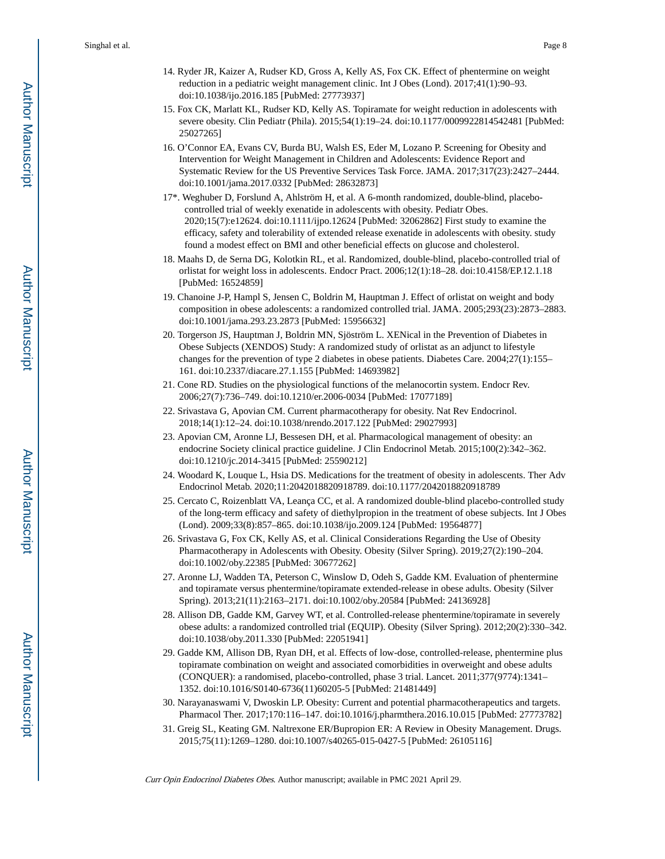- 14. Ryder JR, Kaizer A, Rudser KD, Gross A, Kelly AS, Fox CK. Effect of phentermine on weight reduction in a pediatric weight management clinic. Int J Obes (Lond). 2017;41(1):90–93. doi:10.1038/ijo.2016.185 [PubMed: 27773937]
- 15. Fox CK, Marlatt KL, Rudser KD, Kelly AS. Topiramate for weight reduction in adolescents with severe obesity. Clin Pediatr (Phila). 2015;54(1):19–24. doi:10.1177/0009922814542481 [PubMed: 25027265]
- 16. O'Connor EA, Evans CV, Burda BU, Walsh ES, Eder M, Lozano P. Screening for Obesity and Intervention for Weight Management in Children and Adolescents: Evidence Report and Systematic Review for the US Preventive Services Task Force. JAMA. 2017;317(23):2427–2444. doi:10.1001/jama.2017.0332 [PubMed: 28632873]
- 17\*. Weghuber D, Forslund A, Ahlström H, et al. A 6-month randomized, double-blind, placebocontrolled trial of weekly exenatide in adolescents with obesity. Pediatr Obes. 2020;15(7):e12624. doi:10.1111/ijpo.12624 [PubMed: 32062862] First study to examine the efficacy, safety and tolerability of extended release exenatide in adolescents with obesity. study found a modest effect on BMI and other beneficial effects on glucose and cholesterol.
- 18. Maahs D, de Serna DG, Kolotkin RL, et al. Randomized, double-blind, placebo-controlled trial of orlistat for weight loss in adolescents. Endocr Pract. 2006;12(1):18–28. doi:10.4158/EP.12.1.18 [PubMed: 16524859]
- 19. Chanoine J-P, Hampl S, Jensen C, Boldrin M, Hauptman J. Effect of orlistat on weight and body composition in obese adolescents: a randomized controlled trial. JAMA. 2005;293(23):2873–2883. doi:10.1001/jama.293.23.2873 [PubMed: 15956632]
- 20. Torgerson JS, Hauptman J, Boldrin MN, Sjöström L. XENical in the Prevention of Diabetes in Obese Subjects (XENDOS) Study: A randomized study of orlistat as an adjunct to lifestyle changes for the prevention of type 2 diabetes in obese patients. Diabetes Care. 2004;27(1):155– 161. doi:10.2337/diacare.27.1.155 [PubMed: 14693982]
- 21. Cone RD. Studies on the physiological functions of the melanocortin system. Endocr Rev. 2006;27(7):736–749. doi:10.1210/er.2006-0034 [PubMed: 17077189]
- 22. Srivastava G, Apovian CM. Current pharmacotherapy for obesity. Nat Rev Endocrinol. 2018;14(1):12–24. doi:10.1038/nrendo.2017.122 [PubMed: 29027993]
- 23. Apovian CM, Aronne LJ, Bessesen DH, et al. Pharmacological management of obesity: an endocrine Society clinical practice guideline. J Clin Endocrinol Metab. 2015;100(2):342–362. doi:10.1210/jc.2014-3415 [PubMed: 25590212]
- 24. Woodard K, Louque L, Hsia DS. Medications for the treatment of obesity in adolescents. Ther Adv Endocrinol Metab. 2020;11:2042018820918789. doi:10.1177/2042018820918789
- 25. Cercato C, Roizenblatt VA, Leança CC, et al. A randomized double-blind placebo-controlled study of the long-term efficacy and safety of diethylpropion in the treatment of obese subjects. Int J Obes (Lond). 2009;33(8):857–865. doi:10.1038/ijo.2009.124 [PubMed: 19564877]
- 26. Srivastava G, Fox CK, Kelly AS, et al. Clinical Considerations Regarding the Use of Obesity Pharmacotherapy in Adolescents with Obesity. Obesity (Silver Spring). 2019;27(2):190–204. doi:10.1002/oby.22385 [PubMed: 30677262]
- 27. Aronne LJ, Wadden TA, Peterson C, Winslow D, Odeh S, Gadde KM. Evaluation of phentermine and topiramate versus phentermine/topiramate extended-release in obese adults. Obesity (Silver Spring). 2013;21(11):2163–2171. doi:10.1002/oby.20584 [PubMed: 24136928]
- 28. Allison DB, Gadde KM, Garvey WT, et al. Controlled-release phentermine/topiramate in severely obese adults: a randomized controlled trial (EQUIP). Obesity (Silver Spring). 2012;20(2):330–342. doi:10.1038/oby.2011.330 [PubMed: 22051941]
- 29. Gadde KM, Allison DB, Ryan DH, et al. Effects of low-dose, controlled-release, phentermine plus topiramate combination on weight and associated comorbidities in overweight and obese adults (CONQUER): a randomised, placebo-controlled, phase 3 trial. Lancet. 2011;377(9774):1341– 1352. doi:10.1016/S0140-6736(11)60205-5 [PubMed: 21481449]
- 30. Narayanaswami V, Dwoskin LP. Obesity: Current and potential pharmacotherapeutics and targets. Pharmacol Ther. 2017;170:116–147. doi:10.1016/j.pharmthera.2016.10.015 [PubMed: 27773782]
- 31. Greig SL, Keating GM. Naltrexone ER/Bupropion ER: A Review in Obesity Management. Drugs. 2015;75(11):1269–1280. doi:10.1007/s40265-015-0427-5 [PubMed: 26105116]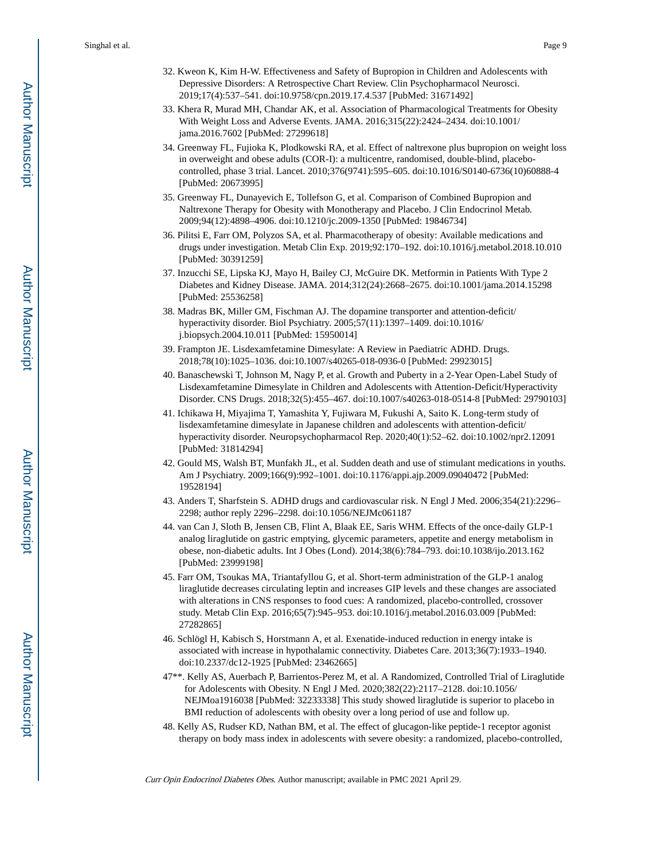- 32. Kweon K, Kim H-W. Effectiveness and Safety of Bupropion in Children and Adolescents with Depressive Disorders: A Retrospective Chart Review. Clin Psychopharmacol Neurosci. 2019;17(4):537–541. doi:10.9758/cpn.2019.17.4.537 [PubMed: 31671492]
- 33. Khera R, Murad MH, Chandar AK, et al. Association of Pharmacological Treatments for Obesity With Weight Loss and Adverse Events. JAMA. 2016;315(22):2424–2434. doi:10.1001/ jama.2016.7602 [PubMed: 27299618]
- 34. Greenway FL, Fujioka K, Plodkowski RA, et al. Effect of naltrexone plus bupropion on weight loss in overweight and obese adults (COR-I): a multicentre, randomised, double-blind, placebocontrolled, phase 3 trial. Lancet. 2010;376(9741):595–605. doi:10.1016/S0140-6736(10)60888-4 [PubMed: 20673995]
- 35. Greenway FL, Dunayevich E, Tollefson G, et al. Comparison of Combined Bupropion and Naltrexone Therapy for Obesity with Monotherapy and Placebo. J Clin Endocrinol Metab. 2009;94(12):4898–4906. doi:10.1210/jc.2009-1350 [PubMed: 19846734]
- 36. Pilitsi E, Farr OM, Polyzos SA, et al. Pharmacotherapy of obesity: Available medications and drugs under investigation. Metab Clin Exp. 2019;92:170–192. doi:10.1016/j.metabol.2018.10.010 [PubMed: 30391259]
- 37. Inzucchi SE, Lipska KJ, Mayo H, Bailey CJ, McGuire DK. Metformin in Patients With Type 2 Diabetes and Kidney Disease. JAMA. 2014;312(24):2668–2675. doi:10.1001/jama.2014.15298 [PubMed: 25536258]
- 38. Madras BK, Miller GM, Fischman AJ. The dopamine transporter and attention-deficit/ hyperactivity disorder. Biol Psychiatry. 2005;57(11):1397–1409. doi:10.1016/ j.biopsych.2004.10.011 [PubMed: 15950014]
- 39. Frampton JE. Lisdexamfetamine Dimesylate: A Review in Paediatric ADHD. Drugs. 2018;78(10):1025–1036. doi:10.1007/s40265-018-0936-0 [PubMed: 29923015]
- 40. Banaschewski T, Johnson M, Nagy P, et al. Growth and Puberty in a 2-Year Open-Label Study of Lisdexamfetamine Dimesylate in Children and Adolescents with Attention-Deficit/Hyperactivity Disorder. CNS Drugs. 2018;32(5):455–467. doi:10.1007/s40263-018-0514-8 [PubMed: 29790103]
- 41. Ichikawa H, Miyajima T, Yamashita Y, Fujiwara M, Fukushi A, Saito K. Long-term study of lisdexamfetamine dimesylate in Japanese children and adolescents with attention-deficit/ hyperactivity disorder. Neuropsychopharmacol Rep. 2020;40(1):52–62. doi:10.1002/npr2.12091 [PubMed: 31814294]
- 42. Gould MS, Walsh BT, Munfakh JL, et al. Sudden death and use of stimulant medications in youths. Am J Psychiatry. 2009;166(9):992–1001. doi:10.1176/appi.ajp.2009.09040472 [PubMed: 19528194]
- 43. Anders T, Sharfstein S. ADHD drugs and cardiovascular risk. N Engl J Med. 2006;354(21):2296– 2298; author reply 2296–2298. doi:10.1056/NEJMc061187
- 44. van Can J, Sloth B, Jensen CB, Flint A, Blaak EE, Saris WHM. Effects of the once-daily GLP-1 analog liraglutide on gastric emptying, glycemic parameters, appetite and energy metabolism in obese, non-diabetic adults. Int J Obes (Lond). 2014;38(6):784–793. doi:10.1038/ijo.2013.162 [PubMed: 23999198]
- 45. Farr OM, Tsoukas MA, Triantafyllou G, et al. Short-term administration of the GLP-1 analog liraglutide decreases circulating leptin and increases GIP levels and these changes are associated with alterations in CNS responses to food cues: A randomized, placebo-controlled, crossover study. Metab Clin Exp. 2016;65(7):945–953. doi:10.1016/j.metabol.2016.03.009 [PubMed: 27282865]
- 46. Schlögl H, Kabisch S, Horstmann A, et al. Exenatide-induced reduction in energy intake is associated with increase in hypothalamic connectivity. Diabetes Care. 2013;36(7):1933–1940. doi:10.2337/dc12-1925 [PubMed: 23462665]
- 47\*\*. Kelly AS, Auerbach P, Barrientos-Perez M, et al. A Randomized, Controlled Trial of Liraglutide for Adolescents with Obesity. N Engl J Med. 2020;382(22):2117–2128. doi:10.1056/ NEJMoa1916038 [PubMed: 32233338] This study showed liraglutide is superior to placebo in BMI reduction of adolescents with obesity over a long period of use and follow up.
- 48. Kelly AS, Rudser KD, Nathan BM, et al. The effect of glucagon-like peptide-1 receptor agonist therapy on body mass index in adolescents with severe obesity: a randomized, placebo-controlled,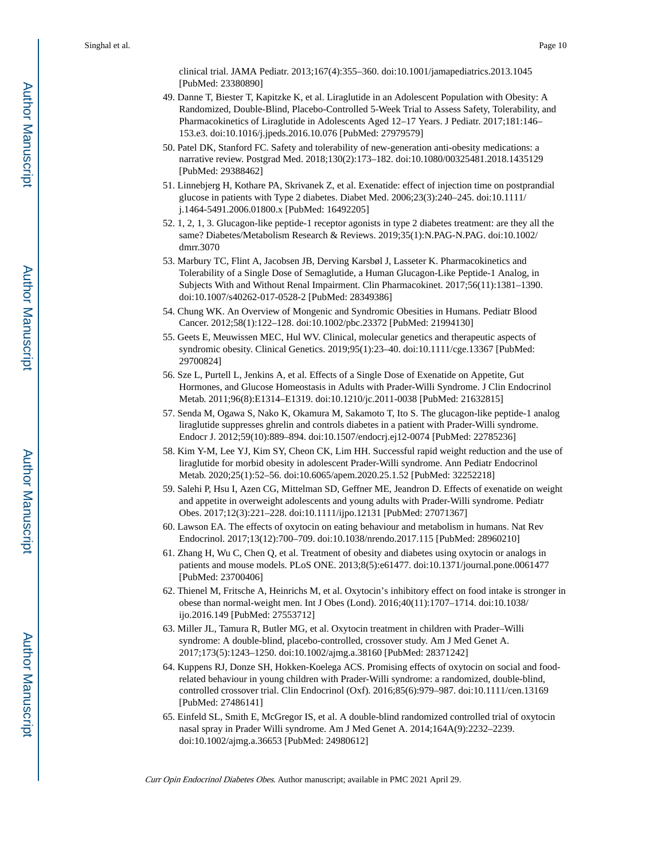clinical trial. JAMA Pediatr. 2013;167(4):355–360. doi:10.1001/jamapediatrics.2013.1045 [PubMed: 23380890]

- 49. Danne T, Biester T, Kapitzke K, et al. Liraglutide in an Adolescent Population with Obesity: A Randomized, Double-Blind, Placebo-Controlled 5-Week Trial to Assess Safety, Tolerability, and Pharmacokinetics of Liraglutide in Adolescents Aged 12–17 Years. J Pediatr. 2017;181:146– 153.e3. doi:10.1016/j.jpeds.2016.10.076 [PubMed: 27979579]
- 50. Patel DK, Stanford FC. Safety and tolerability of new-generation anti-obesity medications: a narrative review. Postgrad Med. 2018;130(2):173–182. doi:10.1080/00325481.2018.1435129 [PubMed: 29388462]
- 51. Linnebjerg H, Kothare PA, Skrivanek Z, et al. Exenatide: effect of injection time on postprandial glucose in patients with Type 2 diabetes. Diabet Med. 2006;23(3):240–245. doi:10.1111/ j.1464-5491.2006.01800.x [PubMed: 16492205]
- 52. 1, 2, 1, 3. Glucagon-like peptide-1 receptor agonists in type 2 diabetes treatment: are they all the same? Diabetes/Metabolism Research & Reviews. 2019;35(1):N.PAG-N.PAG. doi:10.1002/ dmrr.3070
- 53. Marbury TC, Flint A, Jacobsen JB, Derving Karsbøl J, Lasseter K. Pharmacokinetics and Tolerability of a Single Dose of Semaglutide, a Human Glucagon-Like Peptide-1 Analog, in Subjects With and Without Renal Impairment. Clin Pharmacokinet. 2017;56(11):1381–1390. doi:10.1007/s40262-017-0528-2 [PubMed: 28349386]
- 54. Chung WK. An Overview of Mongenic and Syndromic Obesities in Humans. Pediatr Blood Cancer. 2012;58(1):122–128. doi:10.1002/pbc.23372 [PubMed: 21994130]
- 55. Geets E, Meuwissen MEC, Hul WV. Clinical, molecular genetics and therapeutic aspects of syndromic obesity. Clinical Genetics. 2019;95(1):23–40. doi:10.1111/cge.13367 [PubMed: 29700824]
- 56. Sze L, Purtell L, Jenkins A, et al. Effects of a Single Dose of Exenatide on Appetite, Gut Hormones, and Glucose Homeostasis in Adults with Prader-Willi Syndrome. J Clin Endocrinol Metab. 2011;96(8):E1314–E1319. doi:10.1210/jc.2011-0038 [PubMed: 21632815]
- 57. Senda M, Ogawa S, Nako K, Okamura M, Sakamoto T, Ito S. The glucagon-like peptide-1 analog liraglutide suppresses ghrelin and controls diabetes in a patient with Prader-Willi syndrome. Endocr J. 2012;59(10):889–894. doi:10.1507/endocrj.ej12-0074 [PubMed: 22785236]
- 58. Kim Y-M, Lee YJ, Kim SY, Cheon CK, Lim HH. Successful rapid weight reduction and the use of liraglutide for morbid obesity in adolescent Prader-Willi syndrome. Ann Pediatr Endocrinol Metab. 2020;25(1):52–56. doi:10.6065/apem.2020.25.1.52 [PubMed: 32252218]
- 59. Salehi P, Hsu I, Azen CG, Mittelman SD, Geffner ME, Jeandron D. Effects of exenatide on weight and appetite in overweight adolescents and young adults with Prader-Willi syndrome. Pediatr Obes. 2017;12(3):221–228. doi:10.1111/ijpo.12131 [PubMed: 27071367]
- 60. Lawson EA. The effects of oxytocin on eating behaviour and metabolism in humans. Nat Rev Endocrinol. 2017;13(12):700–709. doi:10.1038/nrendo.2017.115 [PubMed: 28960210]
- 61. Zhang H, Wu C, Chen Q, et al. Treatment of obesity and diabetes using oxytocin or analogs in patients and mouse models. PLoS ONE. 2013;8(5):e61477. doi:10.1371/journal.pone.0061477 [PubMed: 23700406]
- 62. Thienel M, Fritsche A, Heinrichs M, et al. Oxytocin's inhibitory effect on food intake is stronger in obese than normal-weight men. Int J Obes (Lond). 2016;40(11):1707–1714. doi:10.1038/ ijo.2016.149 [PubMed: 27553712]
- 63. Miller JL, Tamura R, Butler MG, et al. Oxytocin treatment in children with Prader–Willi syndrome: A double-blind, placebo-controlled, crossover study. Am J Med Genet A. 2017;173(5):1243–1250. doi:10.1002/ajmg.a.38160 [PubMed: 28371242]
- 64. Kuppens RJ, Donze SH, Hokken-Koelega ACS. Promising effects of oxytocin on social and foodrelated behaviour in young children with Prader-Willi syndrome: a randomized, double-blind, controlled crossover trial. Clin Endocrinol (Oxf). 2016;85(6):979–987. doi:10.1111/cen.13169 [PubMed: 27486141]
- 65. Einfeld SL, Smith E, McGregor IS, et al. A double-blind randomized controlled trial of oxytocin nasal spray in Prader Willi syndrome. Am J Med Genet A. 2014;164A(9):2232–2239. doi:10.1002/ajmg.a.36653 [PubMed: 24980612]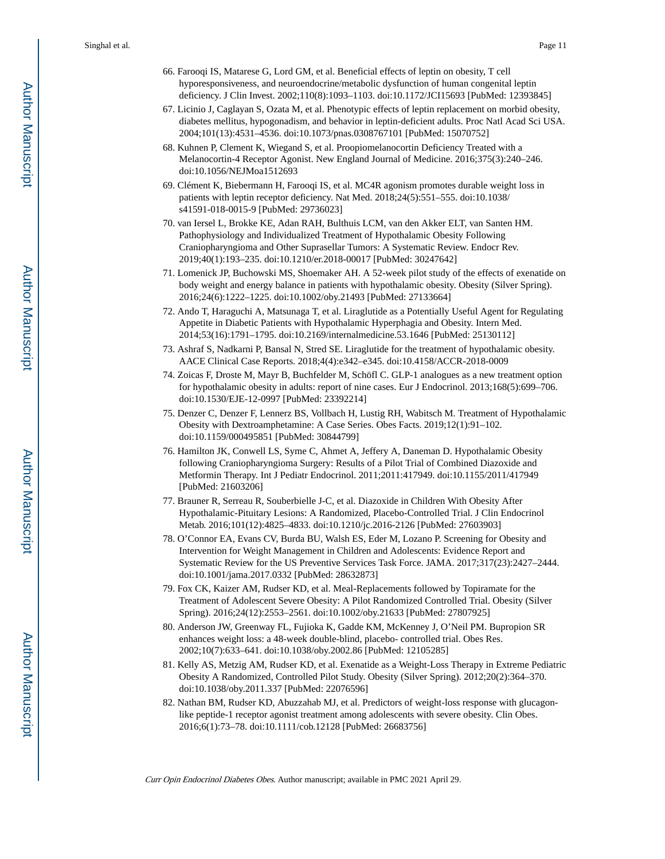- 66. Farooqi IS, Matarese G, Lord GM, et al. Beneficial effects of leptin on obesity, T cell hyporesponsiveness, and neuroendocrine/metabolic dysfunction of human congenital leptin deficiency. J Clin Invest. 2002;110(8):1093–1103. doi:10.1172/JCI15693 [PubMed: 12393845]
- 67. Licinio J, Caglayan S, Ozata M, et al. Phenotypic effects of leptin replacement on morbid obesity, diabetes mellitus, hypogonadism, and behavior in leptin-deficient adults. Proc Natl Acad Sci USA. 2004;101(13):4531–4536. doi:10.1073/pnas.0308767101 [PubMed: 15070752]
- 68. Kuhnen P, Clement K, Wiegand S, et al. Proopiomelanocortin Deficiency Treated with a Melanocortin-4 Receptor Agonist. New England Journal of Medicine. 2016;375(3):240–246. doi:10.1056/NEJMoa1512693
- 69. Clément K, Biebermann H, Farooqi IS, et al. MC4R agonism promotes durable weight loss in patients with leptin receptor deficiency. Nat Med. 2018;24(5):551–555. doi:10.1038/ s41591-018-0015-9 [PubMed: 29736023]
- 70. van Iersel L, Brokke KE, Adan RAH, Bulthuis LCM, van den Akker ELT, van Santen HM. Pathophysiology and Individualized Treatment of Hypothalamic Obesity Following Craniopharyngioma and Other Suprasellar Tumors: A Systematic Review. Endocr Rev. 2019;40(1):193–235. doi:10.1210/er.2018-00017 [PubMed: 30247642]
- 71. Lomenick JP, Buchowski MS, Shoemaker AH. A 52-week pilot study of the effects of exenatide on body weight and energy balance in patients with hypothalamic obesity. Obesity (Silver Spring). 2016;24(6):1222–1225. doi:10.1002/oby.21493 [PubMed: 27133664]
- 72. Ando T, Haraguchi A, Matsunaga T, et al. Liraglutide as a Potentially Useful Agent for Regulating Appetite in Diabetic Patients with Hypothalamic Hyperphagia and Obesity. Intern Med. 2014;53(16):1791–1795. doi:10.2169/internalmedicine.53.1646 [PubMed: 25130112]
- 73. Ashraf S, Nadkarni P, Bansal N, Stred SE. Liraglutide for the treatment of hypothalamic obesity. AACE Clinical Case Reports. 2018;4(4):e342–e345. doi:10.4158/ACCR-2018-0009
- 74. Zoicas F, Droste M, Mayr B, Buchfelder M, Schöfl C. GLP-1 analogues as a new treatment option for hypothalamic obesity in adults: report of nine cases. Eur J Endocrinol. 2013;168(5):699–706. doi:10.1530/EJE-12-0997 [PubMed: 23392214]
- 75. Denzer C, Denzer F, Lennerz BS, Vollbach H, Lustig RH, Wabitsch M. Treatment of Hypothalamic Obesity with Dextroamphetamine: A Case Series. Obes Facts. 2019;12(1):91–102. doi:10.1159/000495851 [PubMed: 30844799]
- 76. Hamilton JK, Conwell LS, Syme C, Ahmet A, Jeffery A, Daneman D. Hypothalamic Obesity following Craniopharyngioma Surgery: Results of a Pilot Trial of Combined Diazoxide and Metformin Therapy. Int J Pediatr Endocrinol. 2011;2011:417949. doi:10.1155/2011/417949 [PubMed: 21603206]
- 77. Brauner R, Serreau R, Souberbielle J-C, et al. Diazoxide in Children With Obesity After Hypothalamic-Pituitary Lesions: A Randomized, Placebo-Controlled Trial. J Clin Endocrinol Metab. 2016;101(12):4825–4833. doi:10.1210/jc.2016-2126 [PubMed: 27603903]
- 78. O'Connor EA, Evans CV, Burda BU, Walsh ES, Eder M, Lozano P. Screening for Obesity and Intervention for Weight Management in Children and Adolescents: Evidence Report and Systematic Review for the US Preventive Services Task Force. JAMA. 2017;317(23):2427–2444. doi:10.1001/jama.2017.0332 [PubMed: 28632873]
- 79. Fox CK, Kaizer AM, Rudser KD, et al. Meal-Replacements followed by Topiramate for the Treatment of Adolescent Severe Obesity: A Pilot Randomized Controlled Trial. Obesity (Silver Spring). 2016;24(12):2553–2561. doi:10.1002/oby.21633 [PubMed: 27807925]
- 80. Anderson JW, Greenway FL, Fujioka K, Gadde KM, McKenney J, O'Neil PM. Bupropion SR enhances weight loss: a 48-week double-blind, placebo- controlled trial. Obes Res. 2002;10(7):633–641. doi:10.1038/oby.2002.86 [PubMed: 12105285]
- 81. Kelly AS, Metzig AM, Rudser KD, et al. Exenatide as a Weight-Loss Therapy in Extreme Pediatric Obesity A Randomized, Controlled Pilot Study. Obesity (Silver Spring). 2012;20(2):364–370. doi:10.1038/oby.2011.337 [PubMed: 22076596]
- 82. Nathan BM, Rudser KD, Abuzzahab MJ, et al. Predictors of weight-loss response with glucagonlike peptide-1 receptor agonist treatment among adolescents with severe obesity. Clin Obes. 2016;6(1):73–78. doi:10.1111/cob.12128 [PubMed: 26683756]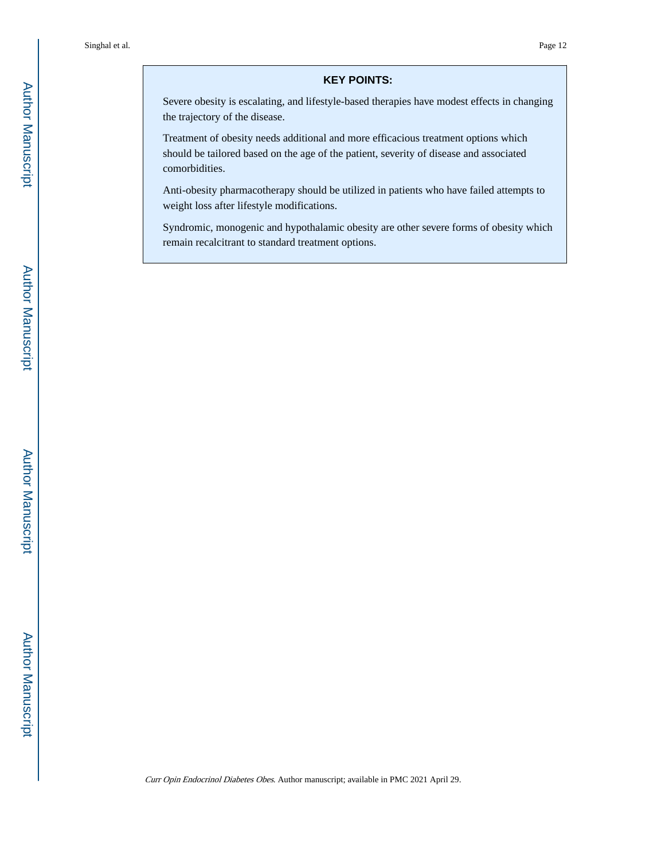#### **KEY POINTS:**

Severe obesity is escalating, and lifestyle-based therapies have modest effects in changing the trajectory of the disease.

Treatment of obesity needs additional and more efficacious treatment options which should be tailored based on the age of the patient, severity of disease and associated comorbidities.

Anti-obesity pharmacotherapy should be utilized in patients who have failed attempts to weight loss after lifestyle modifications.

Syndromic, monogenic and hypothalamic obesity are other severe forms of obesity which remain recalcitrant to standard treatment options.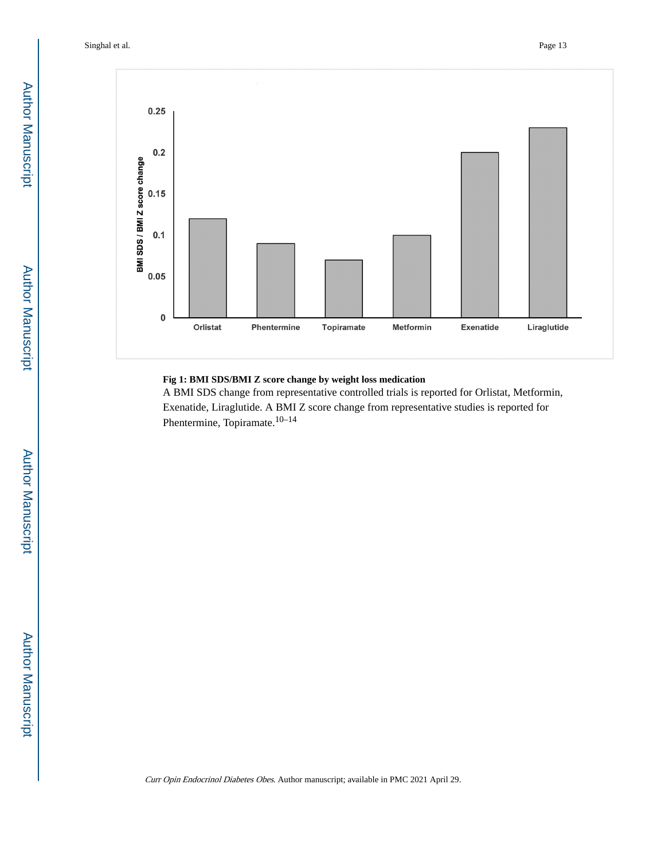Singhal et al. Page 13



#### **Fig 1: BMI SDS/BMI Z score change by weight loss medication**

A BMI SDS change from representative controlled trials is reported for Orlistat, Metformin, Exenatide, Liraglutide. A BMI Z score change from representative studies is reported for Phentermine, Topiramate.<sup>10–14</sup>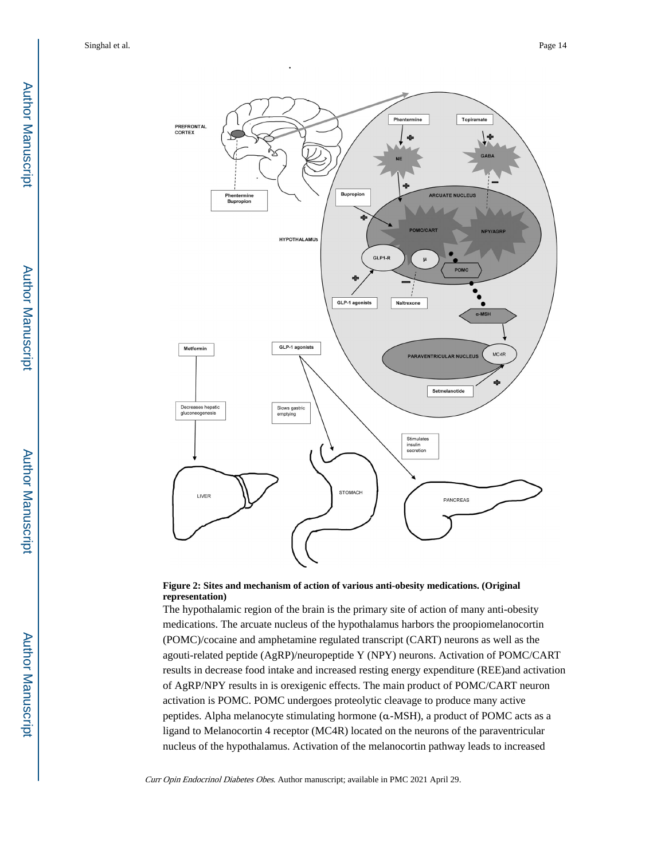

#### **Figure 2: Sites and mechanism of action of various anti-obesity medications. (Original representation)**

The hypothalamic region of the brain is the primary site of action of many anti-obesity medications. The arcuate nucleus of the hypothalamus harbors the proopiomelanocortin (POMC)/cocaine and amphetamine regulated transcript (CART) neurons as well as the agouti-related peptide (AgRP)/neuropeptide Y (NPY) neurons. Activation of POMC/CART results in decrease food intake and increased resting energy expenditure (REE)and activation of AgRP/NPY results in is orexigenic effects. The main product of POMC/CART neuron activation is POMC. POMC undergoes proteolytic cleavage to produce many active peptides. Alpha melanocyte stimulating hormone (α-MSH), a product of POMC acts as a ligand to Melanocortin 4 receptor (MC4R) located on the neurons of the paraventricular nucleus of the hypothalamus. Activation of the melanocortin pathway leads to increased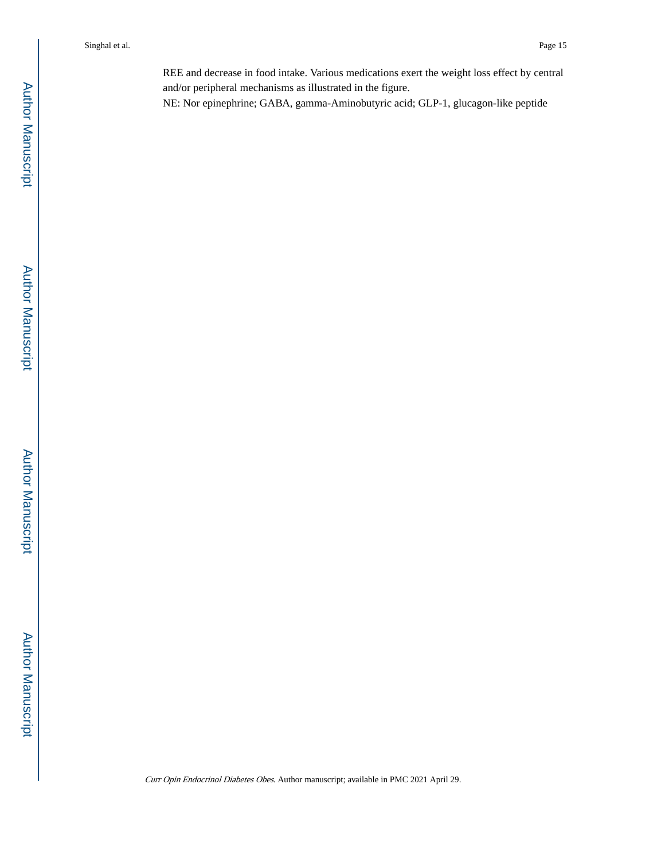REE and decrease in food intake. Various medications exert the weight loss effect by central and/or peripheral mechanisms as illustrated in the figure.

NE: Nor epinephrine; GABA, gamma-Aminobutyric acid; GLP-1, glucagon-like peptide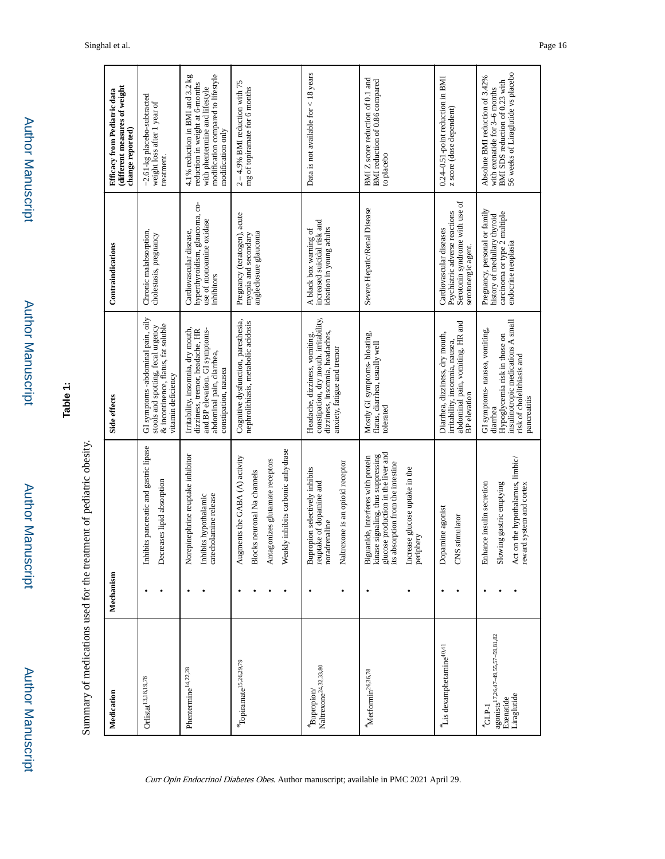| i<br>į<br>i |  |
|-------------|--|
| ĵ<br>į      |  |

г

# **Table 1:**

| received to the contract the factor of the contract of the contract of the contract of the contract of the contract of the contract of the contract of the contract of the contract of the contract of the contract of the con |  |
|--------------------------------------------------------------------------------------------------------------------------------------------------------------------------------------------------------------------------------|--|
|                                                                                                                                                                                                                                |  |
|                                                                                                                                                                                                                                |  |
|                                                                                                                                                                                                                                |  |
|                                                                                                                                                                                                                                |  |
|                                                                                                                                                                                                                                |  |
|                                                                                                                                                                                                                                |  |
|                                                                                                                                                                                                                                |  |

| Medication                                                                            | Mechanism |                                                                                                                                                                                                                                      | Side effects                                                                                                                                                    | Contraindications                                                                                                    | Efficacy from Pediatric data                                                                                                                                     |
|---------------------------------------------------------------------------------------|-----------|--------------------------------------------------------------------------------------------------------------------------------------------------------------------------------------------------------------------------------------|-----------------------------------------------------------------------------------------------------------------------------------------------------------------|----------------------------------------------------------------------------------------------------------------------|------------------------------------------------------------------------------------------------------------------------------------------------------------------|
|                                                                                       |           |                                                                                                                                                                                                                                      |                                                                                                                                                                 |                                                                                                                      | different measures of weight<br>change reported)                                                                                                                 |
| $\rm{Orlistat}^{13,18,19,78}$                                                         |           | Inhibits pancreatic and gastric lipase<br>Decreases lipid absorption                                                                                                                                                                 | GI symptoms - abdominal pain, oily<br>& incontinence, flatus, fat soluble<br>stools and spotting, fecal urgency<br>vitamin deficiency                           | Chronic malabsorption,<br>cholestasis, pregnancy                                                                     | -2.61-kg placebo-subtracted<br>weight loss after 1 year of<br>treatment.                                                                                         |
| Phentermine <sup>14,22,28</sup>                                                       |           | Norepinephrine reuptake inhibitor<br>catecholamine release<br>Inhibits hypothalamic                                                                                                                                                  | Irritability, insomnia, dry mouth,<br>and BP elevation. GI symptoms-<br>dizziness, tremor, headache, HR<br>abdominal pain, diarrhea,<br>constipation, nausea    | ģ<br>hyperthyroidism, glaucoma,<br>use of monoamine oxidase<br>Cardiovascular disease,<br>inhibitors                 | modification compared to lifestyle<br>4.1% reduction in BMI and 3.2 kg<br>reduction in weight at 6-months<br>with phentermine and lifestyle<br>modification only |
| "Topiramate <sup>15,26,29,79</sup>                                                    |           | Weakly inhibits carbonic anhydrase<br>Augments the GABA (A) activity<br>Antagonizes glutamate receptors<br>Blocks neuronal Na channels                                                                                               | Cognitive dysfunction, paresthesia,<br>nephrolithiasis, metabolic acidosis                                                                                      | Pregnancy (teratogen), acute<br>angleclosure glaucoma<br>myopia and secondary                                        | $2 - 4.9%$ BMI reduction with 75<br>mg of topiramate for 6 months                                                                                                |
| Naltrexone <sup>24,32,33,80</sup><br>Bupropion/                                       |           | Naltrexone is an opioid receptor<br>Bupropion selectively inhibits<br>reuptake of dopamine and<br>noradrenaline                                                                                                                      | constipation, dry mouth. irritability,<br>dizziness, insomnia, headaches,<br>Headache, dizziness, vomiting,<br>anxiety, fatigue and tremor                      | increased suicidal risk and<br>ideation in young adults<br>A black box warning of                                    | Data is not available for $<$ 18 years                                                                                                                           |
| Metformin <sup>26,36,78</sup>                                                         |           | glucose production in the liver and<br>its absorption from the intestine<br>kinase signaling, thus suppressing<br>Biguanide, interferes with protein<br>absorption from the intestine<br>Increase glucose uptake in the<br>periphery | Mostly GI symptoms-bloating,<br>flatus, diarrhea, usually well<br>tolerated                                                                                     | Severe Hepatic/Renal Disease                                                                                         | BMIZ score reduction of 0.1 and<br>BMI reduction of 0.86 compared<br>to placebo                                                                                  |
| Lis dexamphetamine <sup>40,41</sup>                                                   |           | Dopamine agonist<br>CNS stimulator                                                                                                                                                                                                   | abdominal pain, vomiting, HR and<br>Diarrhea, dizziness, dry mouth,<br>irritability, insomnia, nausea,<br><b>BP</b> elevation                                   | Serotonin syndrome with use of<br>Psychiatric adverse reactions<br>Cardiovascular diseases<br>serotonergic agent.    | 0.24-0.51-point reduction in BMI<br>z score (dose dependent)                                                                                                     |
| agonists <sup>17,26,47-49,55,57-59,81,82</sup><br>Liraglutide<br>Exenatide<br>$GLP-1$ |           | Act on the hypothalamus, limbic/<br>reward system and cortex<br>Slowing gastric emptying<br>Enhance insulin secretion                                                                                                                | insulinotropic medications A small<br>GI symptoms- nausea, vomiting,<br>Hypoglycemia risk in those on<br>risk of cholelithiasis and<br>pancreatitis<br>diarrhea | Pregnancy, personal or family<br>carcinoma or type 2 multiple<br>history of medullary thyroid<br>endocrine neoplasia | 56 weeks of Liraglutide vs placebo<br>Absolute BMI reduction of 3.42%<br>BMI SDS reduction of 0.23 with<br>with exenatide for 3-6 months                         |